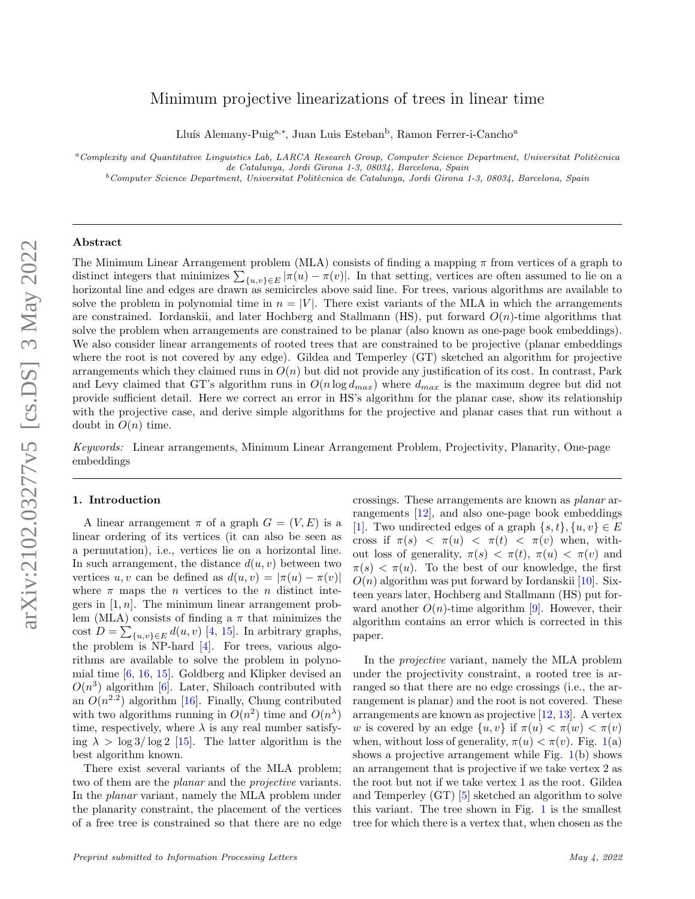# arXiv:2102.03277v5 [cs.DS] 3 May 2022 arXiv:2102.03277v5 [cs.DS] 3 May 2022

# Minimum projective linearizations of trees in linear time

Lluís Alemany-Puig<sup>a,∗</sup>, Juan Luis Esteban<sup>b</sup>, Ramon Ferrer-i-Cancho<sup>a</sup>

 $a$ Complexity and Quantitative Linguistics Lab, LARCA Research Group, Computer Science Department, Universitat Politècnica de Catalunya, Jordi Girona 1-3, 08034, Barcelona, Spain

 $b$ Computer Science Department, Universitat Politècnica de Catalunya, Jordi Girona 1-3, 08034, Barcelona, Spain

# Abstract

The Minimum Linear Arrangement problem (MLA) consists of finding a mapping  $\pi$  from vertices of a graph to distinct integers that minimizes  $\sum_{\{u,v\}\in E} |\pi(u) - \pi(v)|$ . In that setting, vertices are often assumed to lie on a horizontal line and edges are drawn as semicircles above said line. For trees, various algorithms are available to solve the problem in polynomial time in  $n = |V|$ . There exist variants of the MLA in which the arrangements are constrained. Iordanskii, and later Hochberg and Stallmann (HS), put forward  $O(n)$ -time algorithms that solve the problem when arrangements are constrained to be planar (also known as one-page book embeddings). We also consider linear arrangements of rooted trees that are constrained to be projective (planar embeddings where the root is not covered by any edge). Gildea and Temperley (GT) sketched an algorithm for projective arrangements which they claimed runs in  $O(n)$  but did not provide any justification of its cost. In contrast, Park and Levy claimed that GT's algorithm runs in  $O(n \log d_{max})$  where  $d_{max}$  is the maximum degree but did not provide sufficient detail. Here we correct an error in HS's algorithm for the planar case, show its relationship with the projective case, and derive simple algorithms for the projective and planar cases that run without a doubt in  $O(n)$  time.

Keywords: Linear arrangements, Minimum Linear Arrangement Problem, Projectivity, Planarity, One-page embeddings

### 1. Introduction

A linear arrangement  $\pi$  of a graph  $G = (V, E)$  is a linear ordering of its vertices (it can also be seen as a permutation), i.e., vertices lie on a horizontal line. In such arrangement, the distance  $d(u, v)$  between two vertices u, v can be defined as  $d(u, v) = |\pi(u) - \pi(v)|$ where  $\pi$  maps the *n* vertices to the *n* distinct integers in  $[1, n]$ . The minimum linear arrangement problem (MLA) consists of finding a  $\pi$  that minimizes the cost  $D = \sum_{\{u,v\} \in E} d(u,v)$  [\[4,](#page-8-0) [15\]](#page-8-1). In arbitrary graphs, the problem is NP-hard [\[4\]](#page-8-0). For trees, various algorithms are available to solve the problem in polynomial time [\[6,](#page-8-2) [16,](#page-8-3) [15\]](#page-8-1). Goldberg and Klipker devised an  $O(n^3)$  algorithm [\[6\]](#page-8-2). Later, Shiloach contributed with an  $O(n^{2.2})$  algorithm [\[16\]](#page-8-3). Finally, Chung contributed with two algorithms running in  $O(n^2)$  time and  $O(n^{\lambda})$ time, respectively, where  $\lambda$  is any real number satisfying  $\lambda > \log 3 / \log 2$  [\[15\]](#page-8-1). The latter algorithm is the best algorithm known.

There exist several variants of the MLA problem; two of them are the *planar* and the *projective* variants. In the planar variant, namely the MLA problem under the planarity constraint, the placement of the vertices of a free tree is constrained so that there are no edge crossings. These arrangements are known as planar arrangements [\[12\]](#page-8-4), and also one-page book embeddings [\[1\]](#page-8-5). Two undirected edges of a graph  $\{s, t\}, \{u, v\} \in E$ cross if  $\pi(s) < \pi(u) < \pi(t) < \pi(v)$  when, without loss of generality,  $\pi(s) < \pi(t)$ ,  $\pi(u) < \pi(v)$  and  $\pi(s) < \pi(u)$ . To the best of our knowledge, the first  $O(n)$  algorithm was put forward by Iordanskii [\[10\]](#page-8-6). Sixteen years later, Hochberg and Stallmann (HS) put forward another  $O(n)$ -time algorithm [\[9\]](#page-8-7). However, their algorithm contains an error which is corrected in this paper.

In the projective variant, namely the MLA problem under the projectivity constraint, a rooted tree is arranged so that there are no edge crossings (i.e., the arrangement is planar) and the root is not covered. These arrangements are known as projective [\[12,](#page-8-4) [13\]](#page-8-8). A vertex w is covered by an edge  $\{u, v\}$  if  $\pi(u) < \pi(w) < \pi(v)$ when, without loss of generality,  $\pi(u) < \pi(v)$ . Fig. [1\(](#page-1-0)a) shows a projective arrangement while Fig.  $1(b)$  $1(b)$  shows an arrangement that is projective if we take vertex 2 as the root but not if we take vertex 1 as the root. Gildea and Temperley (GT) [\[5\]](#page-8-9) sketched an algorithm to solve this variant. The tree shown in Fig. [1](#page-1-0) is the smallest tree for which there is a vertex that, when chosen as the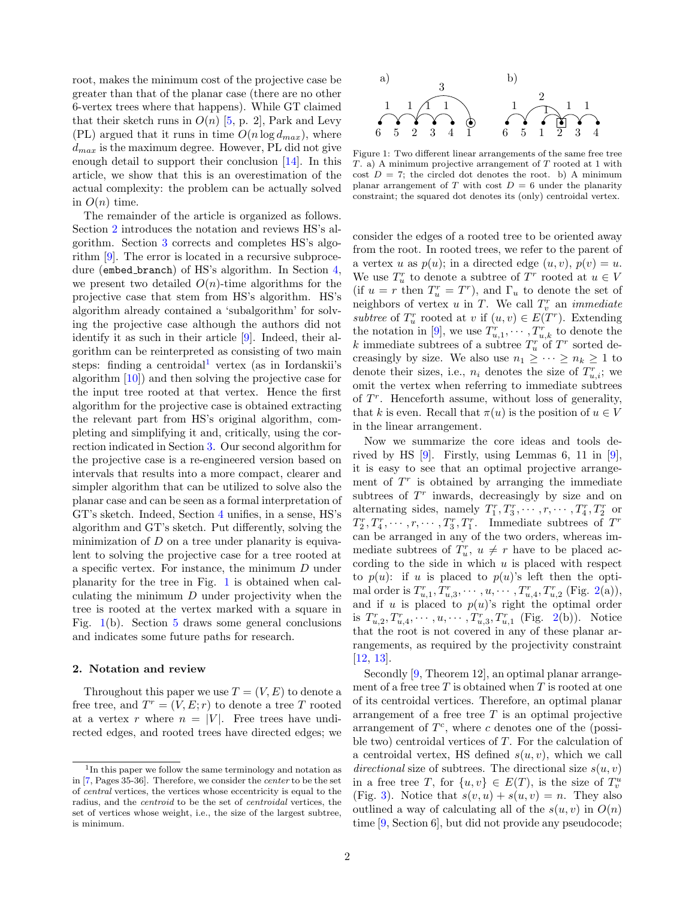root, makes the minimum cost of the projective case be greater than that of the planar case (there are no other 6-vertex trees where that happens). While GT claimed that their sketch runs in  $O(n)$  [\[5,](#page-8-9) p. 2], Park and Levy (PL) argued that it runs in time  $O(n \log d_{max})$ , where  $d_{max}$  is the maximum degree. However, PL did not give enough detail to support their conclusion [\[14\]](#page-8-10). In this article, we show that this is an overestimation of the actual complexity: the problem can be actually solved in  $O(n)$  time.

The remainder of the article is organized as follows. Section [2](#page-1-1) introduces the notation and reviews HS's algorithm. Section [3](#page-3-0) corrects and completes HS's algorithm [\[9\]](#page-8-7). The error is located in a recursive subproce-dure (embed\_branch) of HS's algorithm. In Section [4,](#page-4-0) we present two detailed  $O(n)$ -time algorithms for the projective case that stem from HS's algorithm. HS's algorithm already contained a 'subalgorithm' for solving the projective case although the authors did not identify it as such in their article [\[9\]](#page-8-7). Indeed, their algorithm can be reinterpreted as consisting of two main steps: finding a centroidal<sup>[1](#page-1-2)</sup> vertex (as in Iordanskii's algorithm [\[10\]](#page-8-6)) and then solving the projective case for the input tree rooted at that vertex. Hence the first algorithm for the projective case is obtained extracting the relevant part from HS's original algorithm, completing and simplifying it and, critically, using the correction indicated in Section [3.](#page-3-0) Our second algorithm for the projective case is a re-engineered version based on intervals that results into a more compact, clearer and simpler algorithm that can be utilized to solve also the planar case and can be seen as a formal interpretation of GT's sketch. Indeed, Section [4](#page-4-0) unifies, in a sense, HS's algorithm and GT's sketch. Put differently, solving the minimization of  $D$  on a tree under planarity is equivalent to solving the projective case for a tree rooted at a specific vertex. For instance, the minimum D under planarity for the tree in Fig. [1](#page-1-0) is obtained when calculating the minimum  $D$  under projectivity when the tree is rooted at the vertex marked with a square in Fig. [1\(](#page-1-0)b). Section [5](#page-7-0) draws some general conclusions and indicates some future paths for research.

## <span id="page-1-1"></span>2. Notation and review

Throughout this paper we use  $T = (V, E)$  to denote a free tree, and  $T^r = (V, E; r)$  to denote a tree T rooted at a vertex r where  $n = |V|$ . Free trees have undirected edges, and rooted trees have directed edges; we

<span id="page-1-0"></span>

Figure 1: Two different linear arrangements of the same free tree  $T$ . a) A minimum projective arrangement of  $T$  rooted at 1 with cost  $D = 7$ ; the circled dot denotes the root. b) A minimum planar arrangement of T with cost  $D = 6$  under the planarity constraint; the squared dot denotes its (only) centroidal vertex.

consider the edges of a rooted tree to be oriented away from the root. In rooted trees, we refer to the parent of a vertex u as  $p(u)$ ; in a directed edge  $(u, v)$ ,  $p(v) = u$ . We use  $T_u^r$  to denote a subtree of  $T^r$  rooted at  $u \in V$ (if  $u = r$  then  $T_u^r = T^r$ ), and  $\Gamma_u$  to denote the set of neighbors of vertex  $u$  in  $T$ . We call  $T_v^r$  an *immediate* subtree of  $T_u^r$  rooted at v if  $(u, v) \in E(T^r)$ . Extending the notation in [\[9\]](#page-8-7), we use  $T_{u,1}^r, \cdots, T_{u,k}^r$  to denote the k immediate subtrees of a subtree  $T_u^r$  of  $T^r$  sorted decreasingly by size. We also use  $n_1 \geq \cdots \geq n_k \geq 1$  to denote their sizes, i.e.,  $n_i$  denotes the size of  $T_{u,i}^r$ ; we omit the vertex when referring to immediate subtrees of  $T<sup>r</sup>$ . Henceforth assume, without loss of generality, that k is even. Recall that  $\pi(u)$  is the position of  $u \in V$ in the linear arrangement.

Now we summarize the core ideas and tools derived by HS  $[9]$ . Firstly, using Lemmas 6, 11 in  $[9]$ , it is easy to see that an optimal projective arrangement of  $T<sup>r</sup>$  is obtained by arranging the immediate subtrees of  $T<sup>r</sup>$  inwards, decreasingly by size and on alternating sides, namely  $T_1^r, T_3^r, \cdots, r, \cdots, T_4^r, T_2^r$  or  $T_2^r, T_4^r, \cdots, r, \cdots, T_3^r, T_1^r$ . Immediate subtrees of  $T^r$ can be arranged in any of the two orders, whereas immediate subtrees of  $T_u^r$ ,  $u \neq r$  have to be placed according to the side in which  $u$  is placed with respect to  $p(u)$ : if u is placed to  $p(u)$ 's left then the optimal order is  $T_{u,1}^r, T_{u,3}^r, \cdots, u, \cdots, T_{u,4}^r, T_{u,2}^r$  (Fig. [2\(](#page-2-0)a)), and if u is placed to  $p(u)$ 's right the optimal order is  $T_{u,2}^r, T_{u,4}^r, \cdots, u, \cdots, T_{u,3}^r, T_{u,1}^r$  (Fig. [2\(](#page-2-0)b)). Notice that the root is not covered in any of these planar arrangements, as required by the projectivity constraint [\[12,](#page-8-4) [13\]](#page-8-8).

Secondly [\[9,](#page-8-7) Theorem 12], an optimal planar arrangement of a free tree  $T$  is obtained when  $T$  is rooted at one of its centroidal vertices. Therefore, an optimal planar arrangement of a free tree  $T$  is an optimal projective arrangement of  $T^c$ , where c denotes one of the (possible two) centroidal vertices of  $T$ . For the calculation of a centroidal vertex, HS defined  $s(u, v)$ , which we call directional size of subtrees. The directional size  $s(u, v)$ in a free tree T, for  $\{u, v\} \in E(T)$ , is the size of  $T_v^u$ (Fig. [3\)](#page-2-1). Notice that  $s(v, u) + s(u, v) = n$ . They also outlined a way of calculating all of the  $s(u, v)$  in  $O(n)$ time [\[9,](#page-8-7) Section 6], but did not provide any pseudocode;

<span id="page-1-2"></span><sup>&</sup>lt;sup>1</sup>In this paper we follow the same terminology and notation as in [\[7,](#page-8-11) Pages 35-36]. Therefore, we consider the center to be the set of central vertices, the vertices whose eccentricity is equal to the radius, and the centroid to be the set of centroidal vertices, the set of vertices whose weight, i.e., the size of the largest subtree, is minimum.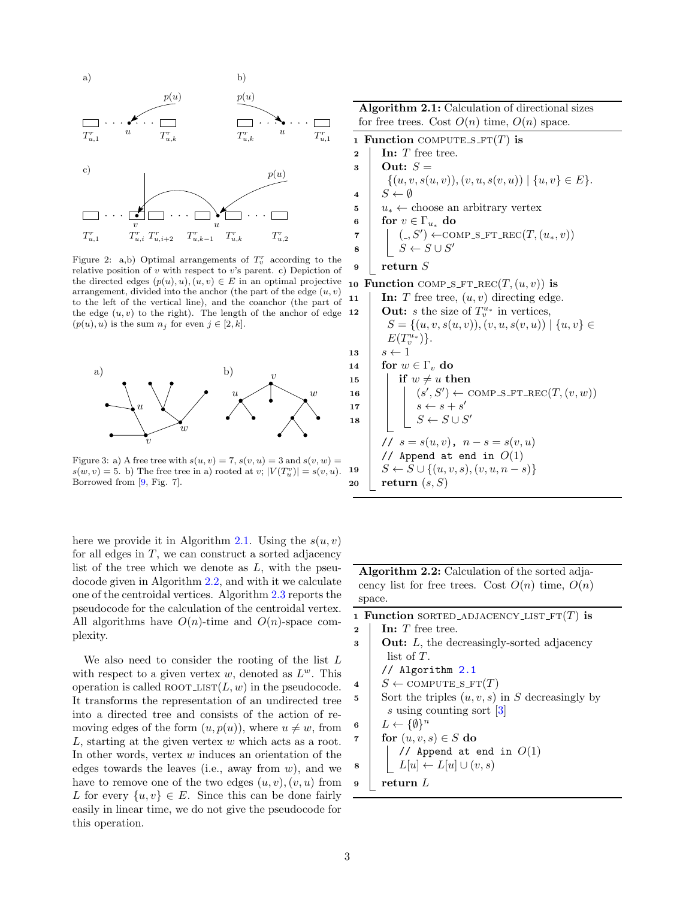<span id="page-2-0"></span>

Figure 2: a,b) Optimal arrangements of  $T_v^r$  according to the relative position of  $v$  with respect to  $v$ 's parent. c) Depiction of the directed edges  $(p(u), u), (u, v) \in E$  in an optimal projective arrangement, divided into the anchor (the part of the edge  $(u, v)$ ) to the left of the vertical line), and the coanchor (the part of the edge  $(u, v)$  to the right). The length of the anchor of edge  $(p(u), u)$  is the sum  $n_j$  for even  $j \in [2, k]$ .

<span id="page-2-1"></span>

Figure 3: a) A free tree with  $s(u, v) = 7$ ,  $s(v, u) = 3$  and  $s(v, w) =$  $s(w, v) = 5$ . b) The free tree in a) rooted at v;  $|V(T_w^v)| = s(v, u)$ . Borrowed from [\[9,](#page-8-7) Fig. 7].

here we provide it in Algorithm [2.1.](#page-2-2) Using the  $s(u, v)$ for all edges in  $T$ , we can construct a sorted adjacency list of the tree which we denote as  $L$ , with the pseudocode given in Algorithm [2.2,](#page-2-3) and with it we calculate one of the centroidal vertices. Algorithm [2.3](#page-3-1) reports the pseudocode for the calculation of the centroidal vertex. All algorithms have  $O(n)$ -time and  $O(n)$ -space complexity.

We also need to consider the rooting of the list  $L$ with respect to a given vertex  $w$ , denoted as  $L^w$ . This operation is called ROOT\_LIST $(L, w)$  in the pseudocode. It transforms the representation of an undirected tree into a directed tree and consists of the action of removing edges of the form  $(u, p(u))$ , where  $u \neq w$ , from L, starting at the given vertex w which acts as a root. In other words, vertex  $w$  induces an orientation of the edges towards the leaves (i.e., away from  $w$ ), and we have to remove one of the two edges  $(u, v), (v, u)$  from L for every  $\{u, v\} \in E$ . Since this can be done fairly easily in linear time, we do not give the pseudocode for this operation.

<span id="page-2-2"></span>Algorithm 2.1: Calculation of directional sizes for free trees. Cost  $O(n)$  time,  $O(n)$  space. 1 Function COMPUTE  $S$ -FT $(T)$  is  $2 \parallel \textbf{In}: T \text{ free tree.}$  $3$  Out:  $S=$  $\{(u, v, s(u, v)), (v, u, s(v, u)) \mid \{u, v\} \in E\}.$ 4 |  $S \leftarrow \emptyset$ 5  $u_* \leftarrow$  choose an arbitrary vertex 6 for  $v \in \Gamma_{u_*}$  do  $\tau$  |  $(., S') \leftarrow \text{COMP\_S\_FT\_REC}(T, (u_*, v))$  $\begin{array}{c|c|c|c} \mathbf{s} & S & \mathbf{s} & S \cup S' \end{array}$ 9 return S 10 Function COMP S\_FT\_REC $(T,(u, v))$  is

11 | In: T free tree,  $(u, v)$  directing edge. 12 **Out:** *s* the size of  $T_v^{u_*}$  in vertices,  $S = \{(u, v, s(u, v)), (v, u, s(v, u)) \mid \{u, v\} \in$  $E(T_v^{u_*})\}.$ 13  $s \leftarrow 1$ 14 for  $w \in \Gamma_v$  do 15 if  $w \neq u$  then 16  $\vert \vert$   $(s', S') \leftarrow \text{COMP\_S\_FT\_REC}(T, (v, w))$ 17  $\vert$   $\vert$   $s \leftarrow s + s'$ 18  $\vert \vert$   $S \leftarrow S \cup S'$ //  $s = s(u, v)$ ,  $n - s = s(v, u)$ // Append at end in  $O(1)$ 19  $S \leftarrow S \cup \{(u, v, s), (v, u, n - s)\}$ 20 return  $(s, S)$ 

Algorithm 2.2: Calculation of the sorted adjacency list for free trees. Cost  $O(n)$  time,  $O(n)$ space.

<span id="page-2-3"></span>1 Function SORTED ADJACENCY LIST  $FT(T)$  is  $2 \mid \text{In: } T \text{ free tree.}$  $\mathbf{3}$  **Out:** *L*, the decreasingly-sorted adjacency list of T. // Algorithm [2.1](#page-2-2)  $4 \mid S \leftarrow \text{COMPUTE\_S\_FT}(T)$ 5 Sort the triples  $(u, v, s)$  in S decreasingly by s using counting sort [\[3\]](#page-8-12) 6  $L \leftarrow \{\emptyset\}^n$ 7 for  $(u, v, s) \in S$  do // Append at end in  $O(1)$  $L[u] \leftarrow L[u] \cup (v, s)$  $9$  return L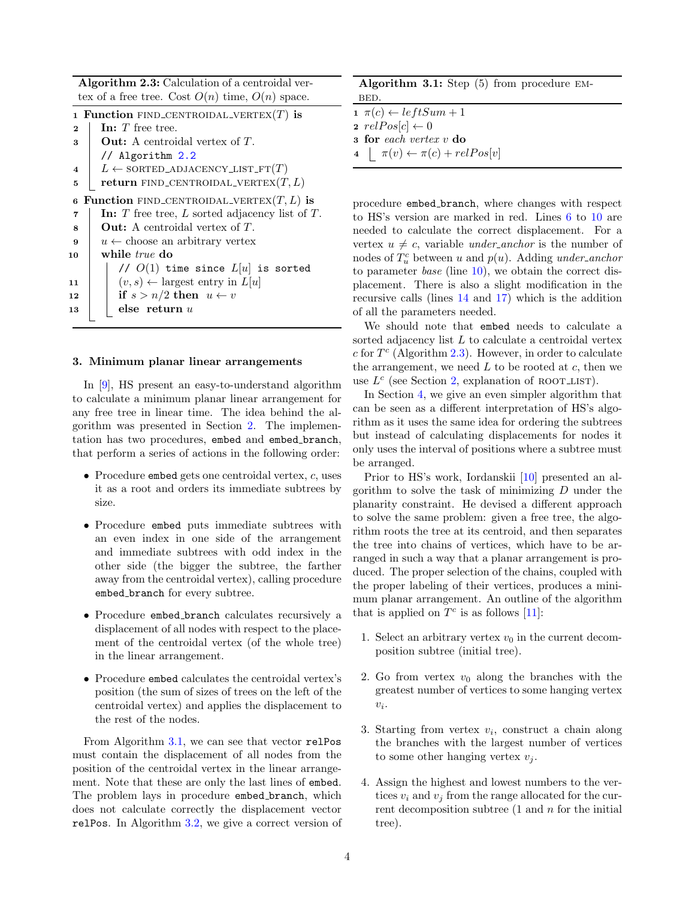Algorithm 2.3: Calculation of a centroidal vertex of a free tree. Cost  $O(n)$  time,  $O(n)$  space.

<span id="page-3-1"></span>

|  | 1 Function FIND_CENTROIDAL_VERTEX $(T)$ is |  |
|--|--------------------------------------------|--|
|  |                                            |  |

|                         | I FUNCTION FIND-CENTROIDAL-VERIEA(I) IS             |  |  |  |
|-------------------------|-----------------------------------------------------|--|--|--|
| $\mathbf{2}$            | In: $T$ free tree.                                  |  |  |  |
| 3                       | <b>Out:</b> A centroidal vertex of $T$ .            |  |  |  |
|                         | // Algorithm $2.2$                                  |  |  |  |
| $\overline{\mathbf{4}}$ | $L \leftarrow$ SORTED_ADJACENCY_LIST_FT $(T)$       |  |  |  |
| 5                       | <b>return</b> FIND_CENTROIDAL_VERTEX $(T, L)$       |  |  |  |
|                         | 6 Function FIND_CENTROIDAL_VERTEX $(T, L)$ is       |  |  |  |
| 7                       | In: T free tree, $L$ sorted adjacency list of $T$ . |  |  |  |
| 8                       | <b>Out:</b> A centroidal vertex of $T$ .            |  |  |  |
| 9                       | $u \leftarrow$ choose an arbitrary vertex           |  |  |  |
| 10                      | while <i>true</i> do                                |  |  |  |
|                         | // $O(1)$ time since $L[u]$ is sorted               |  |  |  |
| 11                      | $(v, s) \leftarrow$ largest entry in $L[u]$         |  |  |  |
| 12                      | if $s > n/2$ then $u \leftarrow v$                  |  |  |  |
| 13                      | else return $u$                                     |  |  |  |
|                         |                                                     |  |  |  |

#### <span id="page-3-0"></span>3. Minimum planar linear arrangements

In [\[9\]](#page-8-7), HS present an easy-to-understand algorithm to calculate a minimum planar linear arrangement for any free tree in linear time. The idea behind the algorithm was presented in Section [2.](#page-1-1) The implementation has two procedures, embed and embed branch, that perform a series of actions in the following order:

- Procedure embed gets one centroidal vertex,  $c$ , uses it as a root and orders its immediate subtrees by size.
- Procedure embed puts immediate subtrees with an even index in one side of the arrangement and immediate subtrees with odd index in the other side (the bigger the subtree, the farther away from the centroidal vertex), calling procedure embed branch for every subtree.
- Procedure embed branch calculates recursively a displacement of all nodes with respect to the placement of the centroidal vertex (of the whole tree) in the linear arrangement.
- Procedure embed calculates the centroidal vertex's position (the sum of sizes of trees on the left of the centroidal vertex) and applies the displacement to the rest of the nodes.

From Algorithm [3.1,](#page-3-2) we can see that vector relPos must contain the displacement of all nodes from the position of the centroidal vertex in the linear arrangement. Note that these are only the last lines of embed. The problem lays in procedure embed branch, which does not calculate correctly the displacement vector relPos. In Algorithm [3.2,](#page-4-1) we give a correct version of

| Algorithm 3.1: Step $(5)$ from procedure EM- |  |  |  |
|----------------------------------------------|--|--|--|
| BED.                                         |  |  |  |

- <span id="page-3-2"></span> $1 \pi(c) \leftarrow leftSum + 1$
- 2  $relPos[c] \leftarrow 0$
- 3 for each vertex v do
- $\pi(v) \leftarrow \pi(c) + relPos[v]$

procedure embed branch, where changes with respect to HS's version are marked in red. Lines [6](#page-4-2) to [10](#page-4-3) are needed to calculate the correct displacement. For a vertex  $u \neq c$ , variable *under-anchor* is the number of nodes of  $T_u^c$  between u and  $p(u)$ . Adding under-anchor to parameter *base* (line  $10$ ), we obtain the correct displacement. There is also a slight modification in the recursive calls (lines [14](#page-4-4) and [17\)](#page-4-5) which is the addition of all the parameters needed.

We should note that embed needs to calculate a sorted adjacency list L to calculate a centroidal vertex  $c$  for  $T<sup>c</sup>$  (Algorithm [2.3\)](#page-3-1). However, in order to calculate the arrangement, we need  $L$  to be rooted at  $c$ , then we use  $L^c$  (see Section [2,](#page-1-1) explanation of ROOT\_LIST).

In Section [4,](#page-4-0) we give an even simpler algorithm that can be seen as a different interpretation of HS's algorithm as it uses the same idea for ordering the subtrees but instead of calculating displacements for nodes it only uses the interval of positions where a subtree must be arranged.

Prior to HS's work, Iordanskii [\[10\]](#page-8-6) presented an algorithm to solve the task of minimizing  $D$  under the planarity constraint. He devised a different approach to solve the same problem: given a free tree, the algorithm roots the tree at its centroid, and then separates the tree into chains of vertices, which have to be arranged in such a way that a planar arrangement is produced. The proper selection of the chains, coupled with the proper labeling of their vertices, produces a minimum planar arrangement. An outline of the algorithm that is applied on  $T^c$  is as follows [\[11\]](#page-8-13):

- 1. Select an arbitrary vertex  $v_0$  in the current decomposition subtree (initial tree).
- 2. Go from vertex  $v_0$  along the branches with the greatest number of vertices to some hanging vertex  $v_i$ .
- 3. Starting from vertex  $v_i$ , construct a chain along the branches with the largest number of vertices to some other hanging vertex  $v_i$ .
- 4. Assign the highest and lowest numbers to the vertices  $v_i$  and  $v_j$  from the range allocated for the current decomposition subtree  $(1 \text{ and } n \text{ for the initial})$ tree).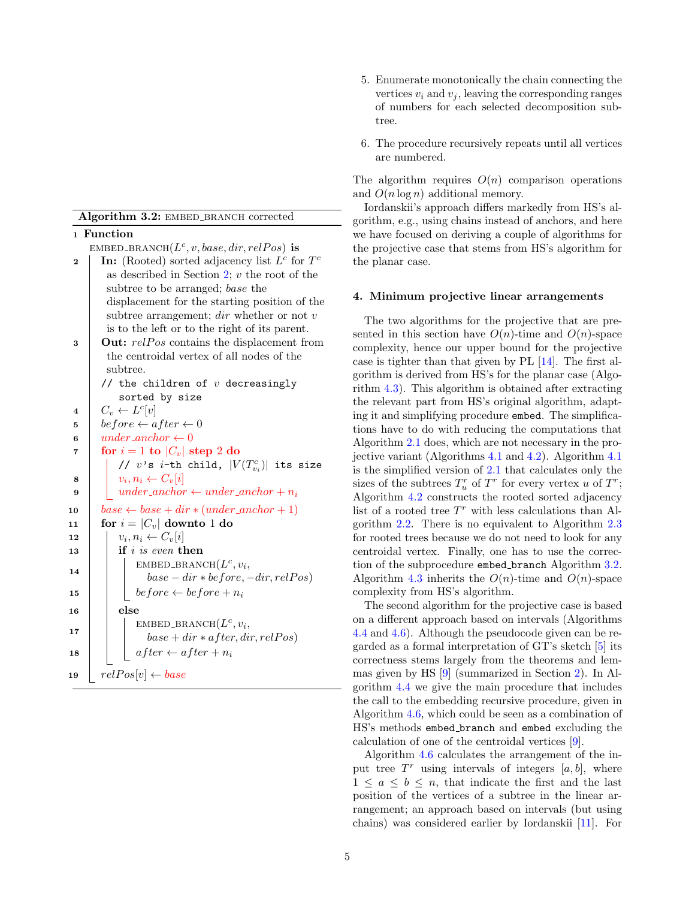Algorithm 3.2: EMBED\_BRANCH corrected

<span id="page-4-2"></span><span id="page-4-1"></span>1 Function EMBED\_BRANCH $(L^c, v, base, dir, relPos)$  is 2 | In: (Rooted) sorted adjacency list  $L^c$  for  $T^c$ as described in Section [2;](#page-1-1)  $v$  the root of the subtree to be arranged; base the displacement for the starting position of the subtree arrangement;  $dir$  whether or not  $v$ is to the left or to the right of its parent.  $3$  | Out:  $relPos$  contains the displacement from the centroidal vertex of all nodes of the subtree. // the children of  $v$  decreasingly sorted by size 4  $C_v \leftarrow L^c[v]$ 5 before  $\leftarrow$  after  $\leftarrow$  0 6 under\_anchor  $\leftarrow 0$ 7 for  $i = 1$  to  $|C_v|$  step 2 do //  $v$ 's  $i$ -th child,  $|V(T_{v_i}^c)|$  its size 8  $\vert v_i, n_i \leftarrow C_v[i]$ 9 | under\_anchor  $\leftarrow$  under\_anchor + n<sub>i</sub> 10  $\big|$  base  $\leftarrow$  base  $+$  dir  $\ast$  (under\_anchor  $+1$ ) 11 for  $i = |C_v|$  downto 1 do 12  $\vert v_i, n_i \leftarrow C_v[i]$  $\begin{array}{c|c|c|c} \textbf{13} & \textbf{if } i \text{ is even then} \end{array}$ 14  $\text{EMBED\_BRANCH}(L^c, v_i,$  $base - dir * before, -dir, relPos)$ 15 before  $\leftarrow$  before  $+n_i$ 16 else 17  $\text{EMBED\_BRANCH}(L^c, v_i,$  $base + dir * after, dir, relPos)$ 18  $\Big|$  after  $\leftarrow$  after  $+n_i$ 19  $relPos[v] \leftarrow base$ 

- 5. Enumerate monotonically the chain connecting the vertices  $v_i$  and  $v_j$ , leaving the corresponding ranges of numbers for each selected decomposition subtree.
- 6. The procedure recursively repeats until all vertices are numbered.

The algorithm requires  $O(n)$  comparison operations and  $O(n \log n)$  additional memory.

Iordanskii's approach differs markedly from HS's algorithm, e.g., using chains instead of anchors, and here we have focused on deriving a couple of algorithms for the projective case that stems from HS's algorithm for the planar case.

# <span id="page-4-0"></span>4. Minimum projective linear arrangements

The two algorithms for the projective that are presented in this section have  $O(n)$ -time and  $O(n)$ -space complexity, hence our upper bound for the projective case is tighter than that given by PL [\[14\]](#page-8-10). The first algorithm is derived from HS's for the planar case (Algorithm [4.3\)](#page-5-0). This algorithm is obtained after extracting the relevant part from HS's original algorithm, adapting it and simplifying procedure embed. The simplifications have to do with reducing the computations that Algorithm [2.1](#page-2-2) does, which are not necessary in the projective variant (Algorithms [4.1](#page-5-1) and [4.2\)](#page-5-2). Algorithm [4.1](#page-5-1) is the simplified version of [2.1](#page-2-2) that calculates only the sizes of the subtrees  $T_u^r$  of  $T^r$  for every vertex u of  $T^r$ ; Algorithm [4.2](#page-5-2) constructs the rooted sorted adjacency list of a rooted tree  $T<sup>r</sup>$  with less calculations than Algorithm [2.2.](#page-2-3) There is no equivalent to Algorithm [2.3](#page-3-1) for rooted trees because we do not need to look for any centroidal vertex. Finally, one has to use the correction of the subprocedure embed branch Algorithm [3.2.](#page-4-1) Algorithm [4.3](#page-5-0) inherits the  $O(n)$ -time and  $O(n)$ -space complexity from HS's algorithm.

<span id="page-4-5"></span><span id="page-4-4"></span><span id="page-4-3"></span>The second algorithm for the projective case is based on a different approach based on intervals (Algorithms [4.4](#page-6-0) and [4.6\)](#page-7-1). Although the pseudocode given can be regarded as a formal interpretation of GT's sketch [\[5\]](#page-8-9) its correctness stems largely from the theorems and lemmas given by HS [\[9\]](#page-8-7) (summarized in Section [2\)](#page-1-1). In Algorithm [4.4](#page-6-0) we give the main procedure that includes the call to the embedding recursive procedure, given in Algorithm [4.6,](#page-7-1) which could be seen as a combination of HS's methods embed branch and embed excluding the calculation of one of the centroidal vertices [\[9\]](#page-8-7).

Algorithm [4.6](#page-7-1) calculates the arrangement of the input tree  $T<sup>r</sup>$  using intervals of integers  $[a, b]$ , where  $1 \leq a \leq b \leq n$ , that indicate the first and the last position of the vertices of a subtree in the linear arrangement; an approach based on intervals (but using chains) was considered earlier by Iordanskii [\[11\]](#page-8-13). For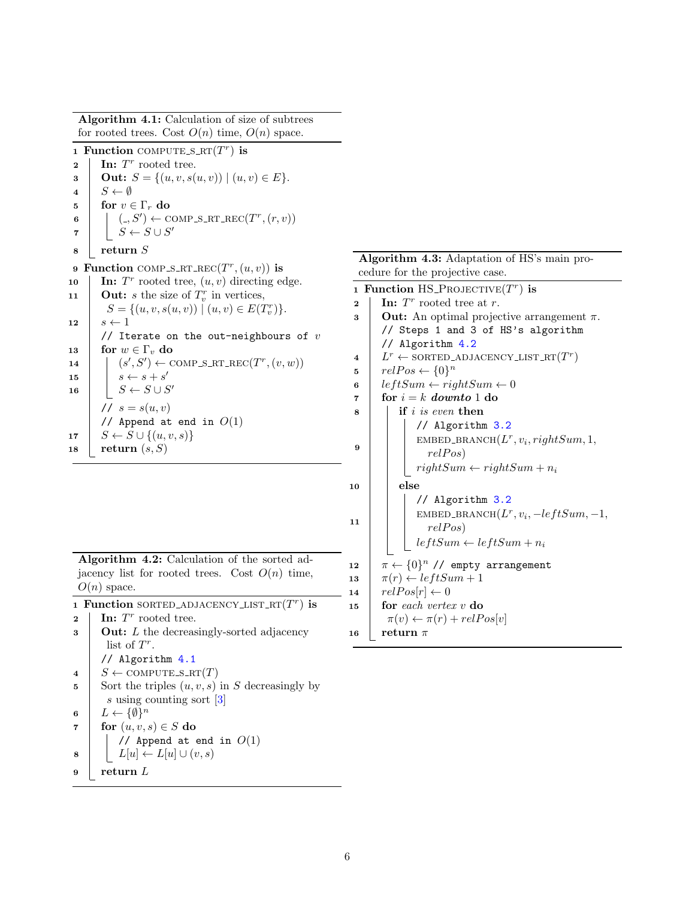<span id="page-5-1"></span>Algorithm 4.1: Calculation of size of subtrees for rooted trees. Cost  $O(n)$  time,  $O(n)$  space. 1 Function COMPUTE\_S\_RT $(T^r)$  is **2** | In:  $T^r$  rooted tree. 3 | Out:  $S = \{(u, v, s(u, v)) \mid (u, v) \in E\}.$ 4  $S \leftarrow \emptyset$ 5 for  $v \in \Gamma_r$  do 6  $\vert \vert$   $\vert (-, S') \leftarrow \text{COMP\_S\_RT\_REC}(T^r, (r, v))$  $\begin{array}{c|c|c|c} \hline \texttt{7} & S & S \cup S' \end{array}$ 8 return S 9 Function COMP\_S\_RT\_REC $(T^r, (u, v))$  is 10 | In:  $T^r$  rooted tree,  $(u, v)$  directing edge. 11 **Out:** s the size of  $T_v^r$  in vertices,  $S = \{(u, v, s(u, v)) \mid (u, v) \in E(T_v^r)\}.$ 12  $s \leftarrow 1$ // Iterate on the out-neighbours of  $v$ 13 for  $w \in \Gamma_v$  do 14  $(S', S') \leftarrow \text{COMP\_S\_RT\_REC}(T^r, (v, w))$ 15  $s \leftarrow s + s'$ 16  $S \leftarrow S \cup S'$ //  $s = s(u, v)$ // Append at end in  $O(1)$ 17  $S \leftarrow S \cup \{(u, v, s)\}$ 18 return  $(s, S)$ Algorithm 4.2: Calculation of the sorted adjacency list for rooted trees. Cost  $O(n)$  time,  $O(n)$  space. 1 Function SORTED\_ADJACENCY\_LIST\_RT $(T<sup>r</sup>)$  is **2** | In:  $T^r$  rooted tree.  $\mathbf{3}$  **Out:** L the decreasingly-sorted adjacency list of  $T^r$ . // Algorithm [4.1](#page-5-1)  $4 \mid S \leftarrow \text{COMPUTE\_S\_RT}(T)$ 5 Sort the triples  $(u, v, s)$  in S decreasingly by s using counting sort [\[3\]](#page-8-12) 6  $L \leftarrow \{\emptyset\}^n$ 7 for  $(u, v, s) \in S$  do // Append at end in  $O(1)$ 8 |  $L[u] \leftarrow L[u] \cup (v, s)$  $9$  return L

Algorithm 4.3: Adaptation of HS's main procedure for the projective case.

<span id="page-5-2"></span><span id="page-5-0"></span>

|                         | 1 Function HS_PROJECTIVE $(T^r)$ is                   |  |  |
|-------------------------|-------------------------------------------------------|--|--|
| $\overline{2}$          | In: $T^r$ rooted tree at r.                           |  |  |
| 3                       | <b>Out:</b> An optimal projective arrangement $\pi$ . |  |  |
|                         | // Steps 1 and 3 of HS's algorithm                    |  |  |
|                         | // Algorithm 4.2                                      |  |  |
| $\overline{\mathbf{4}}$ | $L^r \leftarrow$ SORTED_ADJACENCY_LIST_RT $(T^r)$     |  |  |
| 5                       | $relPos \leftarrow \{0\}^n$                           |  |  |
| 6                       | $leftSum \leftarrow rightSum \leftarrow 0$            |  |  |
| 7                       | for $i = k$ downto 1 do                               |  |  |
| 8                       | if i is even then                                     |  |  |
|                         | // Algorithm 3.2                                      |  |  |
|                         | EMBED_BRANCH $(L^r, v_i, rightSum, 1,$                |  |  |
| 9                       | relPos)                                               |  |  |
|                         | $rightSum \leftarrow rightSum + n_i$                  |  |  |
| 10                      | else                                                  |  |  |
|                         | // Algorithm 3.2                                      |  |  |
|                         | EMBED_BRANCH $(L^r, v_i, -leftSum, -1,$               |  |  |
| 11                      | relPos)                                               |  |  |
|                         | $leftSum \leftarrow leftSum + n_i$                    |  |  |
|                         |                                                       |  |  |
| 12                      | $\pi \leftarrow \{0\}^n$ // empty arrangement         |  |  |
| 13                      | $\pi(r) \leftarrow leftSum + 1$                       |  |  |
| 14                      | $relPos[r] \leftarrow 0$                              |  |  |
| 15                      | for each vertex v do                                  |  |  |
|                         | $\pi(v) \leftarrow \pi(r) + relPos[v]$                |  |  |
| 16                      | return $\pi$                                          |  |  |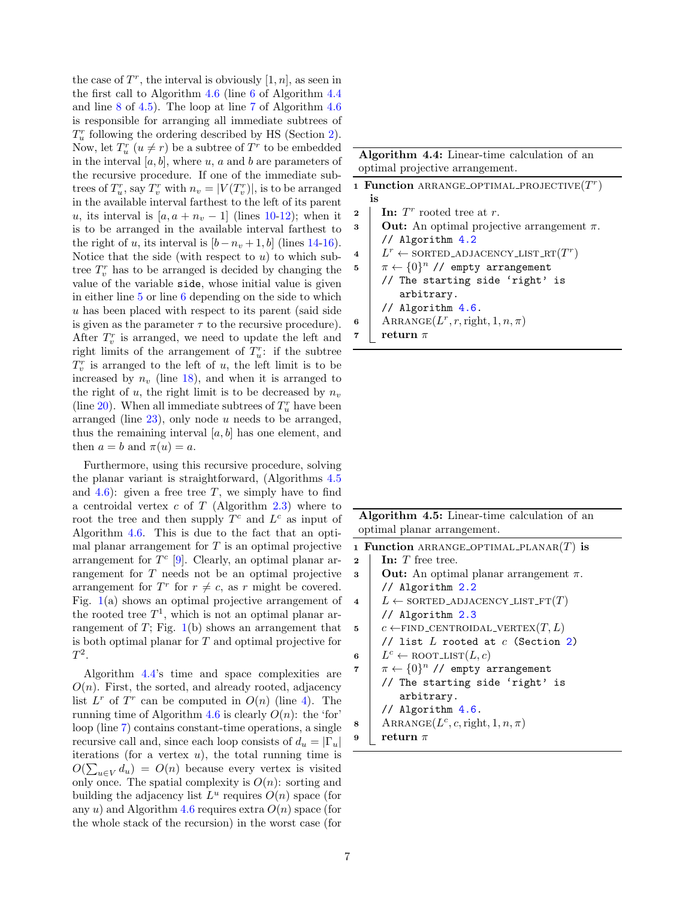the case of  $T^r$ , the interval is obviously  $[1, n]$ , as seen in the first call to Algorithm [4.6](#page-7-1) (line [6](#page-6-1) of Algorithm [4.4](#page-6-0) and line [8](#page-6-2) of [4.5\)](#page-6-3). The loop at line [7](#page-7-2) of Algorithm [4.6](#page-7-1) is responsible for arranging all immediate subtrees of  $T_u^r$  following the ordering described by HS (Section [2\)](#page-1-1). Now, let  $T_u^r$   $(u \neq r)$  be a subtree of  $T^r$  to be embedded in the interval  $[a, b]$ , where  $u$ ,  $a$  and  $b$  are parameters of the recursive procedure. If one of the immediate subtrees of  $T_u^r$ , say  $T_v^r$  with  $n_v = |V(T_v^r)|$ , is to be arranged in the available interval farthest to the left of its parent u, its interval is  $[a, a + n_v - 1]$  (lines [10](#page-7-3)[-12\)](#page-7-4); when it is to be arranged in the available interval farthest to the right of u, its interval is  $[b - n_v + 1, b]$  (lines [14](#page-7-5)[-16\)](#page-7-6). Notice that the side (with respect to  $u$ ) to which subtree  $T_v^r$  has to be arranged is decided by changing the value of the variable side, whose initial value is given in either line [5](#page-7-7) or line [6](#page-7-8) depending on the side to which u has been placed with respect to its parent (said side is given as the parameter  $\tau$  to the recursive procedure). After  $T_v^r$  is arranged, we need to update the left and right limits of the arrangement of  $T_u^r$ : if the subtree  $T_v^r$  is arranged to the left of u, the left limit is to be increased by  $n_v$  (line [18\)](#page-7-9), and when it is arranged to the right of u, the right limit is to be decreased by  $n_v$ (line [20\)](#page-7-10). When all immediate subtrees of  $T_u^r$  have been arranged (line  $23$ ), only node u needs to be arranged, thus the remaining interval  $[a, b]$  has one element, and then  $a = b$  and  $\pi(u) = a$ .

Furthermore, using this recursive procedure, solving the planar variant is straightforward, (Algorithms [4.5](#page-6-3) and  $4.6$ ): given a free tree T, we simply have to find a centroidal vertex  $c$  of  $T$  (Algorithm [2.3\)](#page-3-1) where to root the tree and then supply  $T^c$  and  $L^c$  as input of Algorithm [4.6.](#page-7-1) This is due to the fact that an optimal planar arrangement for  $T$  is an optimal projective arrangement for  $T<sup>c</sup>$  [\[9\]](#page-8-7). Clearly, an optimal planar arrangement for T needs not be an optimal projective arrangement for  $T^r$  for  $r \neq c$ , as r might be covered. Fig. [1\(](#page-1-0)a) shows an optimal projective arrangement of the rooted tree  $T^1$ , which is not an optimal planar arrangement of  $T$ ; Fig. [1\(](#page-1-0)b) shows an arrangement that is both optimal planar for T and optimal projective for  $T^2$ .

Algorithm [4.4'](#page-6-0)s time and space complexities are  $O(n)$ . First, the sorted, and already rooted, adjacency list  $L^r$  of  $T^r$  can be computed in  $O(n)$  (line [4\)](#page-6-4). The running time of Algorithm [4.6](#page-7-1) is clearly  $O(n)$ : the 'for' loop (line [7\)](#page-7-2) contains constant-time operations, a single recursive call and, since each loop consists of  $d_u = |\Gamma_u|$ iterations (for a vertex  $u$ ), the total running time is  $O(\sum_{u\in V} d_u) = O(n)$  because every vertex is visited only once. The spatial complexity is  $O(n)$ : sorting and building the adjacency list  $L^u$  requires  $O(n)$  space (for any u) and Algorithm [4.6](#page-7-1) requires extra  $O(n)$  space (for the whole stack of the recursion) in the worst case (for

| Algorithm 4.4: Linear-time calculation of an |  |  |
|----------------------------------------------|--|--|
| optimal projective arrangement.              |  |  |

<span id="page-6-4"></span><span id="page-6-1"></span><span id="page-6-0"></span>

| 1 Function ARRANGE OPTIMAL PROJECTIVE $(Tr)$ |                                                       |  |
|----------------------------------------------|-------------------------------------------------------|--|
|                                              | is                                                    |  |
| $\mathbf{2}$                                 | In: $T^r$ rooted tree at r.                           |  |
| 3                                            | <b>Out:</b> An optimal projective arrangement $\pi$ . |  |
|                                              | // Algorithm 4.2                                      |  |
| 4                                            | $L^r \leftarrow$ SORTED_ADJACENCY_LIST_RT $(T^r)$     |  |
| 5                                            | $\pi \leftarrow \{0\}^n$ // empty arrangement         |  |
|                                              | // The starting side 'right' is                       |  |
|                                              | arbitrary.                                            |  |
|                                              | // Algorithm $4.6$ .                                  |  |
| 6                                            | $\text{ARRANGE}(L^r, r, \text{right}, 1, n, \pi)$     |  |
|                                              | return $\pi$                                          |  |
|                                              |                                                       |  |

Algorithm 4.5: Linear-time calculation of an optimal planar arrangement.

<span id="page-6-3"></span><span id="page-6-2"></span>

|                        | 1 Function ARRANGE OPTIMAL PLANAR $(T)$ is        |
|------------------------|---------------------------------------------------|
| $\mathbf{2}$           | In: $T$ free tree.                                |
| 3                      | <b>Out:</b> An optimal planar arrangement $\pi$ . |
|                        | // Algorithm $2.2$                                |
| $\boldsymbol{\Lambda}$ | $L \leftarrow$ SORTED_ADJACENCY_LIST_FT $(T)$     |
|                        | // Algorithm $2.3$                                |
| 5                      | $c \leftarrow$ FIND_CENTROIDAL_VERTEX $(T, L)$    |
|                        | // list $L$ rooted at $c$ (Section 2)             |
| 6                      | $L^c \leftarrow \text{ROOT-LIST}(L, c)$           |
| 7                      | $\pi \leftarrow \{0\}^n$ // empty arrangement     |
|                        | // The starting side 'right' is                   |
|                        | arbitrary.                                        |
|                        | // Algorithm $4.6$ .                              |
| 8                      | ARRANGE $(L^c, c,$ right, $1, n, \pi)$            |
| 9                      | return $\pi$                                      |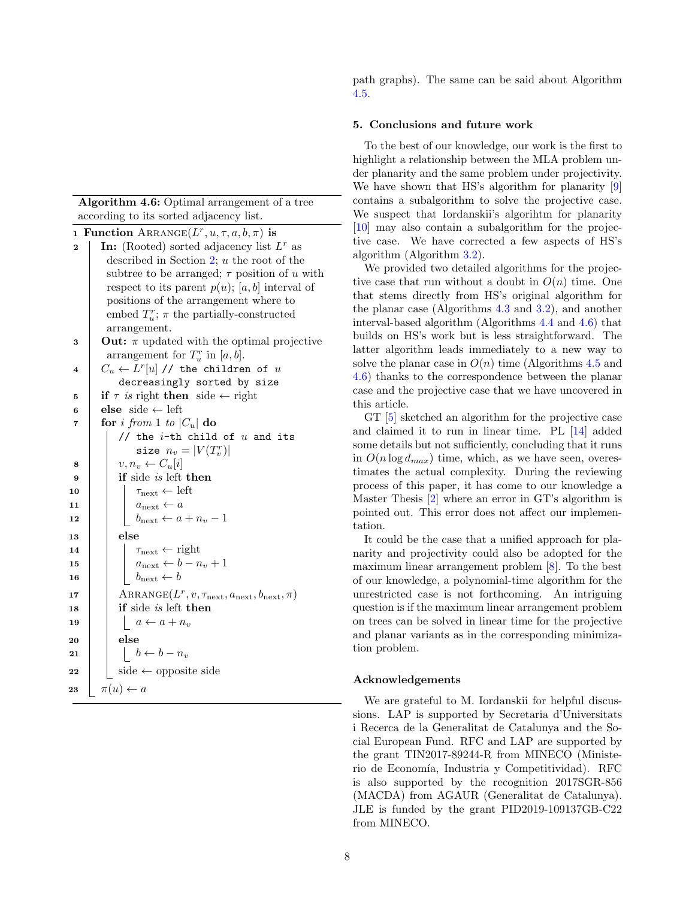Algorithm 4.6: Optimal arrangement of a tree according to its sorted adjacency list.

<span id="page-7-8"></span><span id="page-7-7"></span><span id="page-7-2"></span><span id="page-7-1"></span>**1 Function**  $\text{ARRANGE}(L^r, u, \tau, a, b, \pi)$  is **2** | In: (Rooted) sorted adjacency list  $L^r$  as described in Section [2;](#page-1-1) u the root of the subtree to be arranged;  $\tau$  position of u with respect to its parent  $p(u)$ ; [a, b] interval of positions of the arrangement where to embed  $T_u^r$ ;  $\pi$  the partially-constructed arrangement. **3** Out:  $\pi$  updated with the optimal projective arrangement for  $T_u^r$  in  $[a, b]$ .  $4\quad \left| \quad C_u \leftarrow L^{r}[u] \text{ // the children of } u \right|$ decreasingly sorted by size 5 if  $\tau$  is right then side  $\leftarrow$  right 6 else side  $\leftarrow$  left 7 for i from 1 to  $|C_u|$  do // the  $i$ -th child of  $u$  and its size  $n_v = |V(T_v^r)|$  $\mathbf{8}$  |  $v, n_v \leftarrow C_u[i]$  $9$  | if side is left then 10  $\vert$   $\vert$   $\tau_{\text{next}} \leftarrow \text{left}$ 11  $a_{\text{next}} \leftarrow a$ 12 | |  $b_{\text{next}} \leftarrow a + n_v - 1$ 13 else 14  $\vert \vert$   $\tau_{\text{next}} \leftarrow$  right 15  $\vert \vert$   $a_{\text{next}} \leftarrow b - n_v + 1$ 16 | |  $b_{\text{next}} \leftarrow b$ 17 | ARRANGE $(L^r, v, \tau_{\text{next}}, a_{\text{next}}, b_{\text{next}}, \pi)$  $18$  if side is left then 19  $\vert$   $\vert$   $a \leftarrow a + n_v$  $20$  else 21  $\vert \vert \vert b \leftarrow b - n_v$  $22 \mid \cdot \cdot \cdot \cdot \cdot$  side  $\leftarrow$  opposite side 23  $\pi(u) \leftarrow a$ 

path graphs). The same can be said about Algorithm [4.5.](#page-6-3)

# <span id="page-7-0"></span>5. Conclusions and future work

To the best of our knowledge, our work is the first to highlight a relationship between the MLA problem under planarity and the same problem under projectivity. We have shown that HS's algorithm for planarity [\[9\]](#page-8-7) contains a subalgorithm to solve the projective case. We suspect that Iordanskii's algorihtm for planarity [\[10\]](#page-8-6) may also contain a subalgorithm for the projective case. We have corrected a few aspects of HS's algorithm (Algorithm [3.2\)](#page-4-1).

We provided two detailed algorithms for the projective case that run without a doubt in  $O(n)$  time. One that stems directly from HS's original algorithm for the planar case (Algorithms [4.3](#page-5-0) and [3.2\)](#page-4-1), and another interval-based algorithm (Algorithms [4.4](#page-6-0) and [4.6\)](#page-7-1) that builds on HS's work but is less straightforward. The latter algorithm leads immediately to a new way to solve the planar case in  $O(n)$  time (Algorithms [4.5](#page-6-3) and [4.6\)](#page-7-1) thanks to the correspondence between the planar case and the projective case that we have uncovered in this article.

GT [\[5\]](#page-8-9) sketched an algorithm for the projective case and claimed it to run in linear time. PL [\[14\]](#page-8-10) added some details but not sufficiently, concluding that it runs in  $O(n \log d_{max})$  time, which, as we have seen, overestimates the actual complexity. During the reviewing process of this paper, it has come to our knowledge a Master Thesis [\[2\]](#page-8-14) where an error in GT's algorithm is pointed out. This error does not affect our implementation.

<span id="page-7-9"></span><span id="page-7-6"></span><span id="page-7-5"></span><span id="page-7-4"></span><span id="page-7-3"></span>It could be the case that a unified approach for planarity and projectivity could also be adopted for the maximum linear arrangement problem [\[8\]](#page-8-15). To the best of our knowledge, a polynomial-time algorithm for the unrestricted case is not forthcoming. An intriguing question is if the maximum linear arrangement problem on trees can be solved in linear time for the projective and planar variants as in the corresponding minimization problem.

## <span id="page-7-11"></span><span id="page-7-10"></span>Acknowledgements

We are grateful to M. Iordanskii for helpful discussions. LAP is supported by Secretaria d'Universitats i Recerca de la Generalitat de Catalunya and the Social European Fund. RFC and LAP are supported by the grant TIN2017-89244-R from MINECO (Ministerio de Economía, Industria y Competitividad). RFC is also supported by the recognition 2017SGR-856 (MACDA) from AGAUR (Generalitat de Catalunya). JLE is funded by the grant PID2019-109137GB-C22 from MINECO.